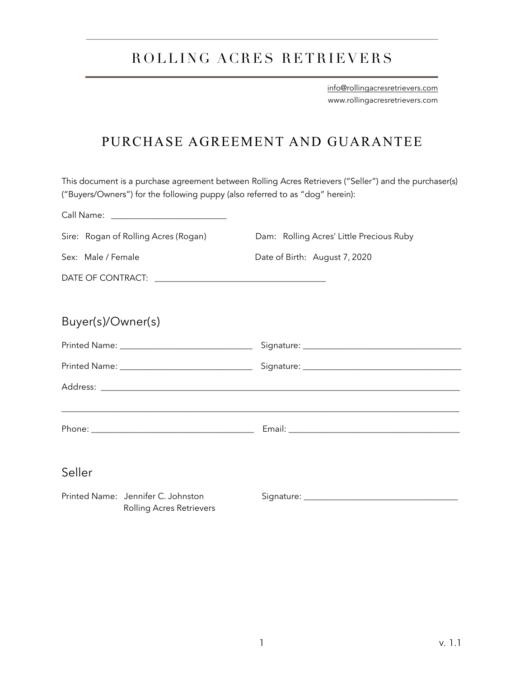## ROLLING ACRES RETRIEVERS

[info@rollingacresretrievers.com](mailto:info@rollingacresretrievers.com) www.rollingacresretrievers.com

## PURCHASE AGREEMENT AND GUARANTEE

This document is a purchase agreement between Rolling Acres Retrievers ("Seller") and the purchaser(s) ("Buyers/Owners") for the following puppy (also referred to as "dog" herein):

| Sire: Rogan of Rolling Acres (Rogan) | Dam: Rolling Acres' Little Precious Ruby |
|--------------------------------------|------------------------------------------|
| Sex: Male / Female                   | Date of Birth: August 7, 2020            |
|                                      |                                          |
| Buyer(s)/Owner(s)                    |                                          |
|                                      |                                          |
|                                      |                                          |
|                                      |                                          |
|                                      |                                          |
| Seller                               |                                          |
| Printed Name: Jennifer C. Johnston   |                                          |

Rolling Acres Retrievers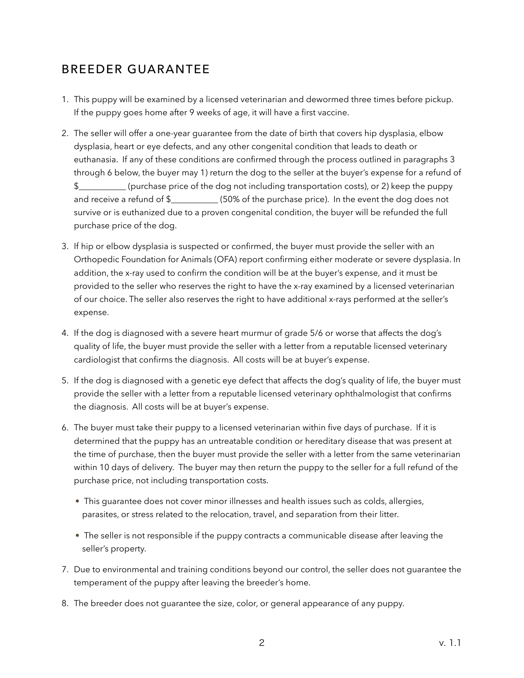## BREEDER GUARANTEE

- 1. This puppy will be examined by a licensed veterinarian and dewormed three times before pickup. If the puppy goes home after 9 weeks of age, it will have a first vaccine.
- 2. The seller will offer a one-year guarantee from the date of birth that covers hip dysplasia, elbow dysplasia, heart or eye defects, and any other congenital condition that leads to death or euthanasia. If any of these conditions are confirmed through the process outlined in paragraphs 3 through 6 below, the buyer may 1) return the dog to the seller at the buyer's expense for a refund of \$\_\_\_\_\_\_\_\_\_\_\_ (purchase price of the dog not including transportation costs), or 2) keep the puppy and receive a refund of \$  $(50\%)$  of the purchase price). In the event the dog does not survive or is euthanized due to a proven congenital condition, the buyer will be refunded the full purchase price of the dog.
- 3. If hip or elbow dysplasia is suspected or confirmed, the buyer must provide the seller with an Orthopedic Foundation for Animals (OFA) report confirming either moderate or severe dysplasia. In addition, the x-ray used to confirm the condition will be at the buyer's expense, and it must be provided to the seller who reserves the right to have the x-ray examined by a licensed veterinarian of our choice. The seller also reserves the right to have additional x-rays performed at the seller's expense.
- 4. If the dog is diagnosed with a severe heart murmur of grade 5/6 or worse that affects the dog's quality of life, the buyer must provide the seller with a letter from a reputable licensed veterinary cardiologist that confirms the diagnosis. All costs will be at buyer's expense.
- 5. If the dog is diagnosed with a genetic eye defect that affects the dog's quality of life, the buyer must provide the seller with a letter from a reputable licensed veterinary ophthalmologist that confirms the diagnosis. All costs will be at buyer's expense.
- 6. The buyer must take their puppy to a licensed veterinarian within five days of purchase. If it is determined that the puppy has an untreatable condition or hereditary disease that was present at the time of purchase, then the buyer must provide the seller with a letter from the same veterinarian within 10 days of delivery. The buyer may then return the puppy to the seller for a full refund of the purchase price, not including transportation costs.
	- This guarantee does not cover minor illnesses and health issues such as colds, allergies, parasites, or stress related to the relocation, travel, and separation from their litter.
	- The seller is not responsible if the puppy contracts a communicable disease after leaving the seller's property.
- 7. Due to environmental and training conditions beyond our control, the seller does not guarantee the temperament of the puppy after leaving the breeder's home.
- 8. The breeder does not guarantee the size, color, or general appearance of any puppy.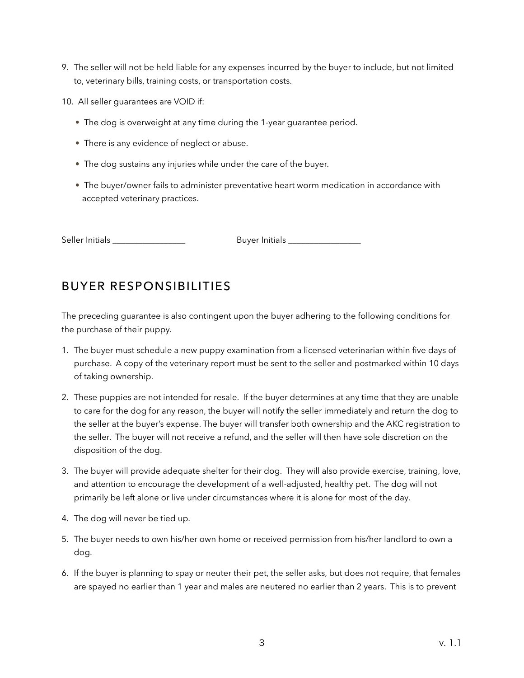- 9. The seller will not be held liable for any expenses incurred by the buyer to include, but not limited to, veterinary bills, training costs, or transportation costs.
- 10. All seller guarantees are VOID if:
	- The dog is overweight at any time during the 1-year guarantee period.
	- There is any evidence of neglect or abuse.
	- The dog sustains any injuries while under the care of the buyer.
	- The buyer/owner fails to administer preventative heart worm medication in accordance with accepted veterinary practices.

Seller Initials \_\_\_\_\_\_\_\_\_\_\_\_\_\_\_\_\_ Buyer Initials \_\_\_\_\_\_\_\_\_\_\_\_\_\_\_\_\_

## BUYER RESPONSIBILITIES

The preceding guarantee is also contingent upon the buyer adhering to the following conditions for the purchase of their puppy.

- 1. The buyer must schedule a new puppy examination from a licensed veterinarian within five days of purchase. A copy of the veterinary report must be sent to the seller and postmarked within 10 days of taking ownership.
- 2. These puppies are not intended for resale. If the buyer determines at any time that they are unable to care for the dog for any reason, the buyer will notify the seller immediately and return the dog to the seller at the buyer's expense. The buyer will transfer both ownership and the AKC registration to the seller. The buyer will not receive a refund, and the seller will then have sole discretion on the disposition of the dog.
- 3. The buyer will provide adequate shelter for their dog. They will also provide exercise, training, love, and attention to encourage the development of a well-adjusted, healthy pet. The dog will not primarily be left alone or live under circumstances where it is alone for most of the day.
- 4. The dog will never be tied up.
- 5. The buyer needs to own his/her own home or received permission from his/her landlord to own a dog.
- 6. If the buyer is planning to spay or neuter their pet, the seller asks, but does not require, that females are spayed no earlier than 1 year and males are neutered no earlier than 2 years. This is to prevent